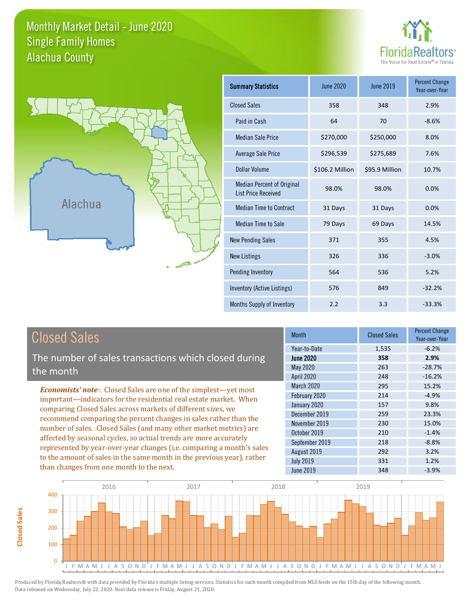### Monthly Market Detail - June 2020 Alachua County Single Family Homes





| <b>Summary Statistics</b>                                       | <b>June 2020</b> | June 2019      | <b>Percent Change</b><br>Year-over-Year |
|-----------------------------------------------------------------|------------------|----------------|-----------------------------------------|
| <b>Closed Sales</b>                                             | 358              | 348            | 2.9%                                    |
| Paid in Cash                                                    | 64               | 70             | $-8.6%$                                 |
| <b>Median Sale Price</b>                                        | \$270,000        | \$250,000      | 8.0%                                    |
| <b>Average Sale Price</b>                                       | \$296,539        | \$275,689      | 7.6%                                    |
| Dollar Volume                                                   | \$106.2 Million  | \$95.9 Million | 10.7%                                   |
| <b>Median Percent of Original</b><br><b>List Price Received</b> | 98.0%            | 98.0%          | 0.0%                                    |
| <b>Median Time to Contract</b>                                  | 31 Days          | 31 Days        | 0.0%                                    |
| <b>Median Time to Sale</b>                                      | 79 Days          | 69 Days        | 14.5%                                   |
| <b>New Pending Sales</b>                                        | 371              | 355            | 4.5%                                    |
| <b>New Listings</b>                                             | 326              | 336            | $-3.0%$                                 |
| Pending Inventory                                               | 564              | 536            | 5.2%                                    |
| Inventory (Active Listings)                                     | 576              | 849            | $-32.2%$                                |
| Months Supply of Inventory                                      | 2.2              | 3.3            | $-33.3%$                                |

The number of sales transactions which closed during the month

*Economists' note* : Closed Sales are one of the simplest—yet most important—indicators for the residential real estate market. When comparing Closed Sales across markets of different sizes, we recommend comparing the percent changes in sales rather than the number of sales. Closed Sales (and many other market metrics) are affected by seasonal cycles, so actual trends are more accurately represented by year-over-year changes (i.e. comparing a month's sales to the amount of sales in the same month in the previous year), rather than changes from one month to the next.

| <b>Month</b>      | <b>Closed Sales</b> | <b>Percent Change</b><br>Year-over-Year |
|-------------------|---------------------|-----------------------------------------|
| Year-to-Date      | 1,535               | $-6.2%$                                 |
| <b>June 2020</b>  | 358                 | 2.9%                                    |
| <b>May 2020</b>   | 263                 | $-28.7%$                                |
| April 2020        | 248                 | $-16.2%$                                |
| <b>March 2020</b> | 295                 | 15.2%                                   |
| February 2020     | 214                 | $-4.9%$                                 |
| January 2020      | 157                 | 9.8%                                    |
| December 2019     | 259                 | 23.3%                                   |
| November 2019     | 230                 | 15.0%                                   |
| October 2019      | 210                 | $-1.4%$                                 |
| September 2019    | 218                 | $-8.8%$                                 |
| August 2019       | 292                 | 3.2%                                    |
| <b>July 2019</b>  | 331                 | 1.2%                                    |
| <b>June 2019</b>  | 348                 | $-3.9%$                                 |

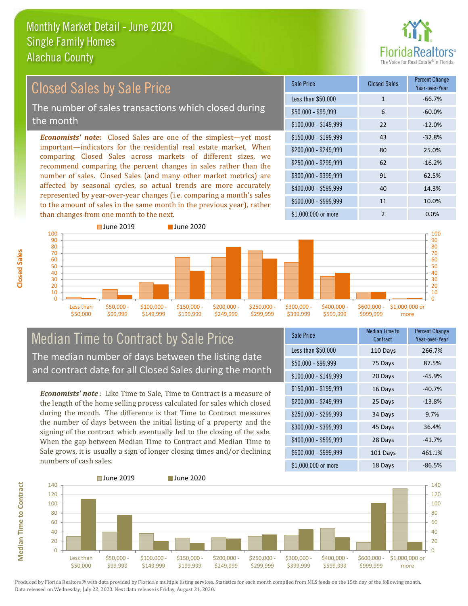

#### *Economists' note:* Closed Sales are one of the simplest—yet most important—indicators for the residential real estate market. When comparing Closed Sales across markets of different sizes, we recommend comparing the percent changes in sales rather than the number of sales. Closed Sales (and many other market metrics) are affected by seasonal cycles, so actual trends are more accurately represented by year-over-year changes (i.e. comparing a month's sales to the amount of sales in the same month in the previous year), rather than changes from one month to the next. \$1,000,000 or more 2 0.0%  $$250,000 - $299,999$  62 -16.2% \$300,000 - \$399,999 91 62.5% \$400,000 - \$599,999 40 14.3% \$600,000 - \$999,999 11 10.0% \$150,000 - \$199,999 43 -32.8% \$200,000 - \$249,999 80 25.0%  $$100,000 - $149,999$  22 -12.0% Sale Price Closed Sales Percent Change Year-over-Year Less than \$50,000 1 1 -66.7%  $$50.000 - $99.999$  6 -60.0% ■ June 2019 **■ June 2020** Closed Sales by Sale Price The number of sales transactions which closed during the month



### Median Time to Contract by Sale Price The median number of days between the listing date and contract date for all Closed Sales during the month

*Economists' note* : Like Time to Sale, Time to Contract is a measure of the length of the home selling process calculated for sales which closed during the month. The difference is that Time to Contract measures the number of days between the initial listing of a property and the signing of the contract which eventually led to the closing of the sale. When the gap between Median Time to Contract and Median Time to Sale grows, it is usually a sign of longer closing times and/or declining numbers of cash sales.

| <b>Sale Price</b>     | Median Time to<br>Contract | Percent Change<br>Year-over-Year |
|-----------------------|----------------------------|----------------------------------|
| Less than \$50,000    | 110 Days                   | 266.7%                           |
| \$50,000 - \$99,999   | 75 Days                    | 87.5%                            |
| $$100,000 - $149,999$ | 20 Days                    | $-45.9%$                         |
| $$150,000 - $199,999$ | 16 Days                    | $-40.7%$                         |
| \$200,000 - \$249,999 | 25 Days                    | $-13.8%$                         |
| \$250,000 - \$299,999 | 34 Days                    | 9.7%                             |
| \$300,000 - \$399,999 | 45 Days                    | 36.4%                            |
| \$400,000 - \$599,999 | 28 Days                    | $-41.7%$                         |
| \$600,000 - \$999,999 | 101 Days                   | 461.1%                           |
| \$1,000,000 or more   | 18 Days                    | -86.5%                           |



Produced by Florida Realtors® with data provided by Florida's multiple listing services. Statistics for each month compiled from MLS feeds on the 15th day of the following month. Data released on Wednesday, July 22, 2020. Next data release is Friday, August 21, 2020.

**Median Time to Contract**

**Median Time to Contract**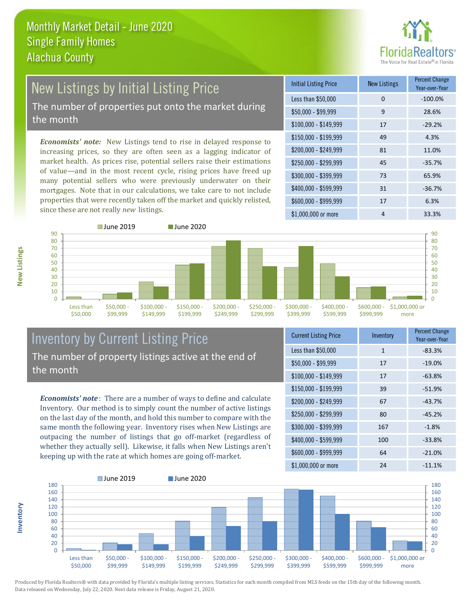

## New Listings by Initial Listing Price The number of properties put onto the market during

the month

*Economists' note:* New Listings tend to rise in delayed response to increasing prices, so they are often seen as a lagging indicator of market health. As prices rise, potential sellers raise their estimations of value—and in the most recent cycle, rising prices have freed up many potential sellers who were previously underwater on their mortgages. Note that in our calculations, we take care to not include properties that were recently taken off the market and quickly relisted, since these are not really *new* listings.

| <b>Initial Listing Price</b> | <b>New Listings</b> | <b>Percent Change</b><br>Year-over-Year |
|------------------------------|---------------------|-----------------------------------------|
| Less than \$50,000           | 0                   | $-100.0%$                               |
| $$50,000 - $99,999$          | 9                   | 28.6%                                   |
| $$100,000 - $149,999$        | 17                  | $-29.2%$                                |
| $$150,000 - $199,999$        | 49                  | 4.3%                                    |
| \$200,000 - \$249,999        | 81                  | 11.0%                                   |
| \$250,000 - \$299,999        | 45                  | $-35.7%$                                |
| \$300,000 - \$399,999        | 73                  | 65.9%                                   |
| \$400,000 - \$599,999        | 31                  | $-36.7%$                                |
| \$600,000 - \$999,999        | 17                  | 6.3%                                    |
| \$1,000,000 or more          | 4                   | 33.3%                                   |



**New Listings**

90

**Inventory**



### Inventory by Current Listing Price The number of property listings active at the end of the month

*Economists' note* : There are a number of ways to define and calculate Inventory. Our method is to simply count the number of active listings on the last day of the month, and hold this number to compare with the same month the following year. Inventory rises when New Listings are outpacing the number of listings that go off-market (regardless of whether they actually sell). Likewise, it falls when New Listings aren't keeping up with the rate at which homes are going off-market.

| <b>Current Listing Price</b> | Inventory    | <b>Percent Change</b><br>Year-over-Year |
|------------------------------|--------------|-----------------------------------------|
| Less than \$50,000           | $\mathbf{1}$ | $-83.3%$                                |
| $$50,000 - $99,999$          | 17           | $-19.0%$                                |
| $$100,000 - $149,999$        | 17           | $-63.8%$                                |
| $$150,000 - $199,999$        | 39           | $-51.9%$                                |
| \$200,000 - \$249,999        | 67           | $-43.7%$                                |
| \$250,000 - \$299,999        | 80           | $-45.2%$                                |
| \$300,000 - \$399,999        | 167          | $-1.8%$                                 |
| \$400,000 - \$599,999        | 100          | $-33.8%$                                |
| \$600,000 - \$999,999        | 64           | $-21.0%$                                |
| \$1,000,000 or more          | 24           | $-11.1%$                                |

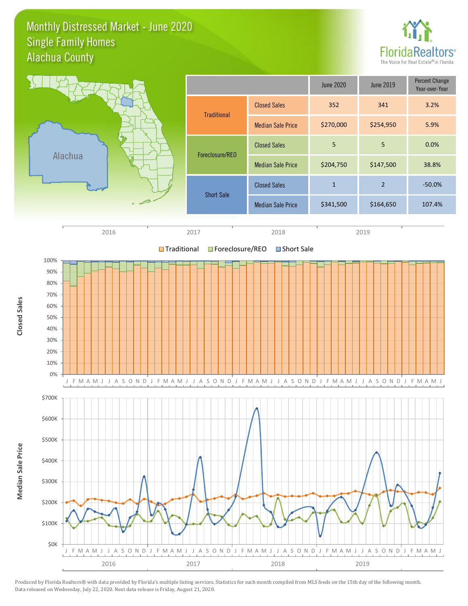### Monthly Distressed Market - June 2020 Alachua County Single Family Homes



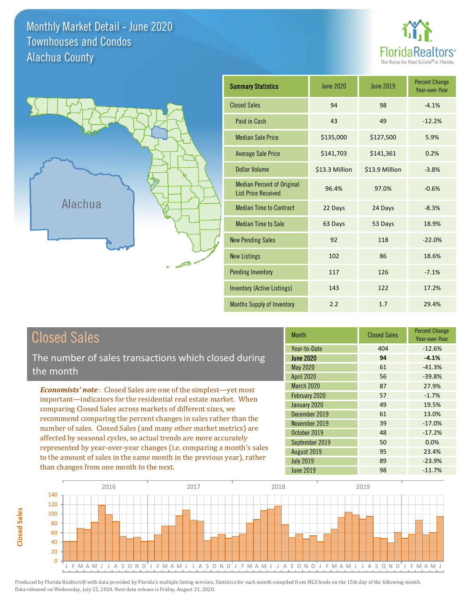Monthly Market Detail - June 2020 Alachua County Townhouses and Condos





| <b>Summary Statistics</b>                                       | June 2020      | June 2019      | <b>Percent Change</b><br>Year-over-Year |
|-----------------------------------------------------------------|----------------|----------------|-----------------------------------------|
| <b>Closed Sales</b>                                             | 94             | 98             | $-4.1%$                                 |
| Paid in Cash                                                    | 43             | 49             | $-12.2%$                                |
| <b>Median Sale Price</b>                                        | \$135,000      | \$127,500      | 5.9%                                    |
| <b>Average Sale Price</b>                                       | \$141,703      | \$141,361      | 0.2%                                    |
| Dollar Volume                                                   | \$13.3 Million | \$13.9 Million | $-3.8%$                                 |
| <b>Median Percent of Original</b><br><b>List Price Received</b> | 96.4%          | 97.0%          | $-0.6%$                                 |
| <b>Median Time to Contract</b>                                  | 22 Days        | 24 Days        | $-8.3%$                                 |
| <b>Median Time to Sale</b>                                      | 63 Days        | 53 Days        | 18.9%                                   |
| <b>New Pending Sales</b>                                        | 92             | 118            | $-22.0%$                                |
| <b>New Listings</b>                                             | 102            | 86             | 18.6%                                   |
| <b>Pending Inventory</b>                                        | 117            | 126            | $-7.1%$                                 |
| <b>Inventory (Active Listings)</b>                              | 143            | 122            | 17.2%                                   |
| <b>Months Supply of Inventory</b>                               | 2.2            | 1.7            | 29.4%                                   |

# Closed Sales

The number of sales transactions which closed during the month

*Economists' note* : Closed Sales are one of the simplest—yet most important—indicators for the residential real estate market. When comparing Closed Sales across markets of different sizes, we recommend comparing the percent changes in sales rather than the number of sales. Closed Sales (and many other market metrics) are affected by seasonal cycles, so actual trends are more accurately represented by year-over-year changes (i.e. comparing a month's sales to the amount of sales in the same month in the previous year), rather than changes from one month to the next.

| <b>Month</b>      | <b>Closed Sales</b> | <b>Percent Change</b><br>Year-over-Year |
|-------------------|---------------------|-----------------------------------------|
| Year-to-Date      | 404                 | $-12.6%$                                |
| <b>June 2020</b>  | 94                  | $-4.1%$                                 |
| <b>May 2020</b>   | 61                  | $-41.3%$                                |
| <b>April 2020</b> | 56                  | $-39.8%$                                |
| <b>March 2020</b> | 87                  | 27.9%                                   |
| February 2020     | 57                  | $-1.7%$                                 |
| January 2020      | 49                  | 19.5%                                   |
| December 2019     | 61                  | 13.0%                                   |
| November 2019     | 39                  | $-17.0%$                                |
| October 2019      | 48                  | $-17.2%$                                |
| September 2019    | 50                  | 0.0%                                    |
| August 2019       | 95                  | 23.4%                                   |
| <b>July 2019</b>  | 89                  | $-23.9%$                                |
| <b>June 2019</b>  | 98                  | $-11.7%$                                |

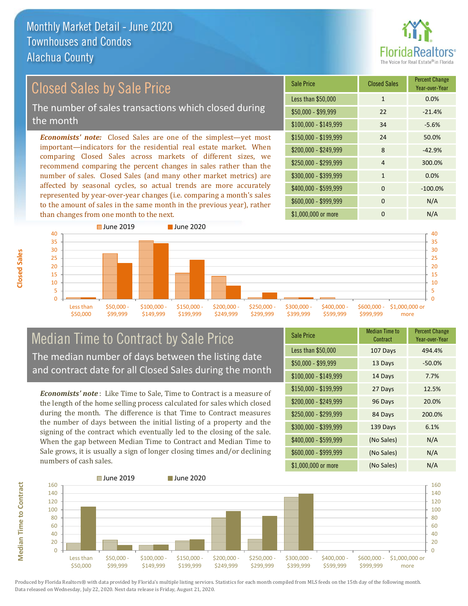

# Closed Sales by Sale Price

The number of sales transactions which closed during the month

*Economists' note:* Closed Sales are one of the simplest—yet most important—indicators for the residential real estate market. When comparing Closed Sales across markets of different sizes, we recommend comparing the percent changes in sales rather than the number of sales. Closed Sales (and many other market metrics) are affected by seasonal cycles, so actual trends are more accurately represented by year-over-year changes (i.e. comparing a month's sales to the amount of sales in the same month in the previous year), rather than changes from one month to the next.

| <b>Sale Price</b>     | <b>Closed Sales</b> | <b>Percent Change</b><br>Year-over-Year |
|-----------------------|---------------------|-----------------------------------------|
| Less than \$50,000    | $\mathbf{1}$        | 0.0%                                    |
| $$50,000 - $99,999$   | 22                  | $-21.4%$                                |
| $$100,000 - $149,999$ | 34                  | $-5.6%$                                 |
| $$150,000 - $199,999$ | 24                  | 50.0%                                   |
| \$200,000 - \$249,999 | 8                   | $-42.9%$                                |
| \$250,000 - \$299,999 | 4                   | 300.0%                                  |
| \$300,000 - \$399,999 | $\mathbf{1}$        | 0.0%                                    |
| \$400,000 - \$599,999 | $\Omega$            | $-100.0%$                               |
| \$600,000 - \$999,999 | $\Omega$            | N/A                                     |
| \$1,000,000 or more   | n                   | N/A                                     |



### Median Time to Contract by Sale Price The median number of days between the listing date and contract date for all Closed Sales during the month

*Economists' note* : Like Time to Sale, Time to Contract is a measure of the length of the home selling process calculated for sales which closed during the month. The difference is that Time to Contract measures the number of days between the initial listing of a property and the signing of the contract which eventually led to the closing of the sale. When the gap between Median Time to Contract and Median Time to Sale grows, it is usually a sign of longer closing times and/or declining numbers of cash sales.

| <b>Sale Price</b>     | Median Time to<br>Contract | <b>Percent Change</b><br>Year-over-Year |
|-----------------------|----------------------------|-----------------------------------------|
| Less than \$50,000    | 107 Days                   | 494.4%                                  |
| $$50,000 - $99,999$   | 13 Days                    | $-50.0%$                                |
| $$100,000 - $149,999$ | 14 Days                    | 7.7%                                    |
| $$150,000 - $199,999$ | 27 Days                    | 12.5%                                   |
| \$200,000 - \$249,999 | 96 Days                    | 20.0%                                   |
| \$250,000 - \$299,999 | 84 Days                    | 200.0%                                  |
| \$300,000 - \$399,999 | 139 Days                   | 6.1%                                    |
| \$400,000 - \$599,999 | (No Sales)                 | N/A                                     |
| \$600,000 - \$999,999 | (No Sales)                 | N/A                                     |
| \$1,000,000 or more   | (No Sales)                 | N/A                                     |

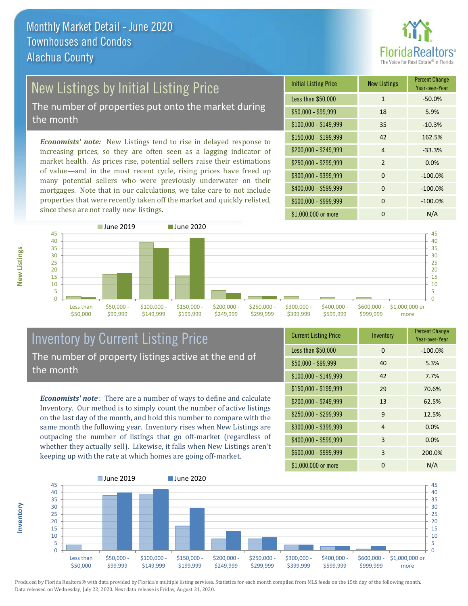

# New Listings by Initial Listing Price

The number of properties put onto the market during the month

*Economists' note:* New Listings tend to rise in delayed response to increasing prices, so they are often seen as a lagging indicator of market health. As prices rise, potential sellers raise their estimations of value—and in the most recent cycle, rising prices have freed up many potential sellers who were previously underwater on their mortgages. Note that in our calculations, we take care to not include properties that were recently taken off the market and quickly relisted, since these are not really *new* listings.

| <b>Initial Listing Price</b> | <b>New Listings</b> | <b>Percent Change</b><br>Year-over-Year |
|------------------------------|---------------------|-----------------------------------------|
| Less than \$50,000           | $\mathbf{1}$        | $-50.0%$                                |
| \$50,000 - \$99,999          | 18                  | 5.9%                                    |
| $$100,000 - $149,999$        | 35                  | $-10.3%$                                |
| $$150,000 - $199,999$        | 42                  | 162.5%                                  |
| \$200,000 - \$249,999        | $\overline{4}$      | $-33.3%$                                |
| \$250,000 - \$299,999        | $\overline{2}$      | 0.0%                                    |
| \$300,000 - \$399,999        | $\Omega$            | $-100.0%$                               |
| \$400,000 - \$599,999        | $\Omega$            | $-100.0%$                               |
| \$600,000 - \$999,999        | $\Omega$            | $-100.0%$                               |
| \$1,000,000 or more          | ი                   | N/A                                     |



### Inventory by Current Listing Price The number of property listings active at the end of the month

*Economists' note* : There are a number of ways to define and calculate Inventory. Our method is to simply count the number of active listings on the last day of the month, and hold this number to compare with the same month the following year. Inventory rises when New Listings are outpacing the number of listings that go off-market (regardless of whether they actually sell). Likewise, it falls when New Listings aren't keeping up with the rate at which homes are going off-market.

| <b>Current Listing Price</b> | Inventory | <b>Percent Change</b><br>Year-over-Year |
|------------------------------|-----------|-----------------------------------------|
| Less than \$50,000           | $\Omega$  | $-100.0%$                               |
| $$50,000 - $99,999$          | 40        | 5.3%                                    |
| $$100,000 - $149,999$        | 42        | 7.7%                                    |
| $$150,000 - $199,999$        | 29        | 70.6%                                   |
| \$200,000 - \$249,999        | 13        | 62.5%                                   |
| \$250,000 - \$299,999        | 9         | 12.5%                                   |
| \$300,000 - \$399,999        | 4         | 0.0%                                    |
| \$400,000 - \$599,999        | 3         | 0.0%                                    |
| \$600,000 - \$999,999        | 3         | 200.0%                                  |
| \$1,000,000 or more          | 0         | N/A                                     |



Produced by Florida Realtors® with data provided by Florida's multiple listing services. Statistics for each month compiled from MLS feeds on the 15th day of the following month. Data released on Wednesday, July 22, 2020. Next data release is Friday, August 21, 2020.

**Inventory**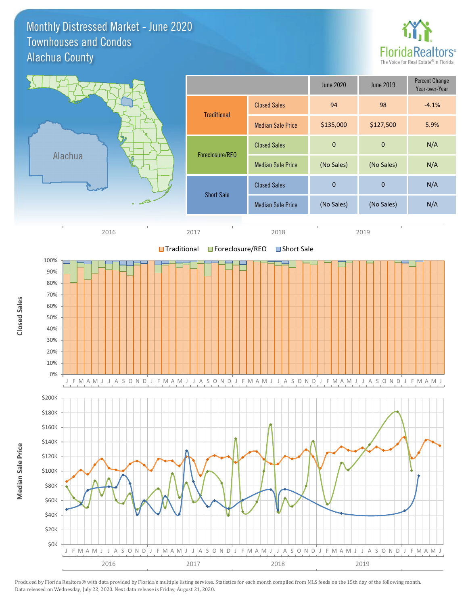Monthly Distressed Market - June 2020 Alachua County Townhouses and Condos



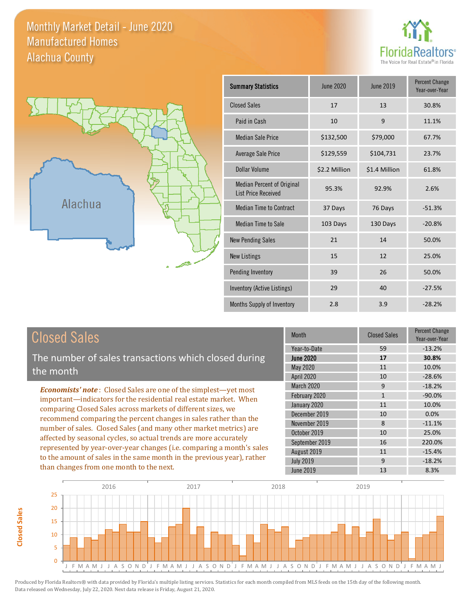Monthly Market Detail - June 2020 Alachua County Manufactured Homes





| <b>Summary Statistics</b>                                       | June 2020     | June 2019     | <b>Percent Change</b><br>Year-over-Year |
|-----------------------------------------------------------------|---------------|---------------|-----------------------------------------|
| <b>Closed Sales</b>                                             | 17            | 13            | 30.8%                                   |
| Paid in Cash                                                    | 10            | 9             | 11.1%                                   |
| <b>Median Sale Price</b>                                        | \$132,500     | \$79,000      | 67.7%                                   |
| <b>Average Sale Price</b>                                       | \$129,559     | \$104,731     | 23.7%                                   |
| Dollar Volume                                                   | \$2.2 Million | \$1.4 Million | 61.8%                                   |
| <b>Median Percent of Original</b><br><b>List Price Received</b> | 95.3%         | 92.9%         | 2.6%                                    |
| <b>Median Time to Contract</b>                                  | 37 Days       | 76 Days       | $-51.3%$                                |
| <b>Median Time to Sale</b>                                      | 103 Days      | 130 Days      | $-20.8%$                                |
| <b>New Pending Sales</b>                                        | 21            | 14            | 50.0%                                   |
| <b>New Listings</b>                                             | 15            | 12            | 25.0%                                   |
| <b>Pending Inventory</b>                                        | 39            | 26            | 50.0%                                   |
| Inventory (Active Listings)                                     | 29            | 40            | $-27.5%$                                |
| Months Supply of Inventory                                      | 2.8           | 3.9           | $-28.2%$                                |

# Closed Sales

The number of sales transactions which closed during the month

*Economists' note* : Closed Sales are one of the simplest—yet most important—indicators for the residential real estate market. When comparing Closed Sales across markets of different sizes, we recommend comparing the percent changes in sales rather than the number of sales. Closed Sales (and many other market metrics) are affected by seasonal cycles, so actual trends are more accurately represented by year-over-year changes (i.e. comparing a month's sales to the amount of sales in the same month in the previous year), rather than changes from one month to the next.

| <b>Month</b>      | <b>Closed Sales</b> | Percent Change<br>Year-over-Year |
|-------------------|---------------------|----------------------------------|
| Year-to-Date      | 59                  | $-13.2%$                         |
| <b>June 2020</b>  | 17                  | 30.8%                            |
| May 2020          | 11                  | 10.0%                            |
| April 2020        | 10                  | $-28.6%$                         |
| <b>March 2020</b> | 9                   | $-18.2%$                         |
| February 2020     | $\mathbf{1}$        | $-90.0%$                         |
| January 2020      | 11                  | 10.0%                            |
| December 2019     | 10                  | 0.0%                             |
| November 2019     | 8                   | $-11.1%$                         |
| October 2019      | 10                  | 25.0%                            |
| September 2019    | 16                  | 220.0%                           |
| August 2019       | 11                  | $-15.4%$                         |
| <b>July 2019</b>  | 9                   | $-18.2%$                         |
| <b>June 2019</b>  | 13                  | 8.3%                             |



**Closed Sales**

**Closed Sales**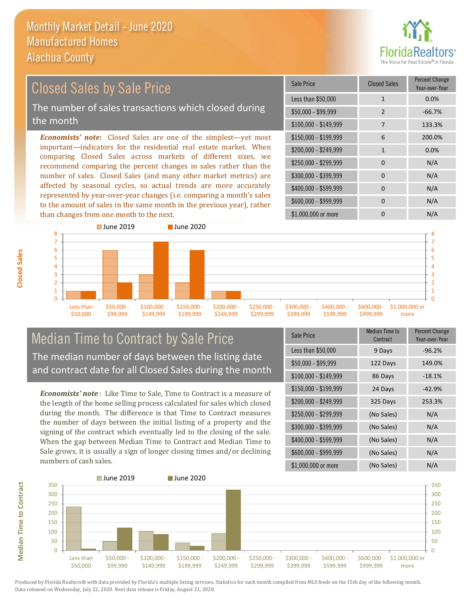

#### *Economists' note:* Closed Sales are one of the simplest—yet most important—indicators for the residential real estate market. When comparing Closed Sales across markets of different sizes, we recommend comparing the percent changes in sales rather than the number of sales. Closed Sales (and many other market metrics) are affected by seasonal cycles, so actual trends are more accurately represented by year-over-year changes (i.e. comparing a month's sales \$250,000 - \$299,999 0 0 N/A \$300,000 - \$399,999 0 0 N/A  $$400,000 - $599,999$  0 N/A \$600,000 - \$999,999 0 0 N/A \$150,000 - \$199,999 6 200.0% \$200,000 - \$249,999 1 0.0% \$100,000 - \$149,999 7 133.3% Sale Price Closed Sales Percent Change Year-over-Year Less than \$50,000 1 1 0.0% \$50,000 - \$99,999 2 -66.7% Closed Sales by Sale Price The number of sales transactions which closed during the month



### Median Time to Contract by Sale Price The median number of days between the listing date and contract date for all Closed Sales during the month

to the amount of sales in the same month in the previous year), rather

*Economists' note* : Like Time to Sale, Time to Contract is a measure of the length of the home selling process calculated for sales which closed during the month. The difference is that Time to Contract measures the number of days between the initial listing of a property and the signing of the contract which eventually led to the closing of the sale. When the gap between Median Time to Contract and Median Time to Sale grows, it is usually a sign of longer closing times and/or declining numbers of cash sales.

| Sale Price            | Median Time to<br><b>Contract</b> | <b>Percent Change</b><br>Year-over-Year |
|-----------------------|-----------------------------------|-----------------------------------------|
| Less than \$50,000    | 9 Days                            | $-96.2%$                                |
| $$50,000 - $99,999$   | 122 Days                          | 149.0%                                  |
| $$100,000 - $149,999$ | 86 Days                           | $-18.1%$                                |
| \$150,000 - \$199,999 | 24 Days                           | $-42.9%$                                |
| \$200,000 - \$249,999 | 325 Days                          | 253.3%                                  |
| \$250,000 - \$299,999 | (No Sales)                        | N/A                                     |
| \$300,000 - \$399,999 | (No Sales)                        | N/A                                     |
| \$400,000 - \$599,999 | (No Sales)                        | N/A                                     |
| \$600,000 - \$999,999 | (No Sales)                        | N/A                                     |
| \$1,000,000 or more   | (No Sales)                        | N/A                                     |



Produced by Florida Realtors® with data provided by Florida's multiple listing services. Statistics for each month compiled from MLS feeds on the 15th day of the following month. Data released on Wednesday, July 22, 2020. Next data release is Friday, August 21, 2020.

**Median Time to Contract**

**Median Time to Contract**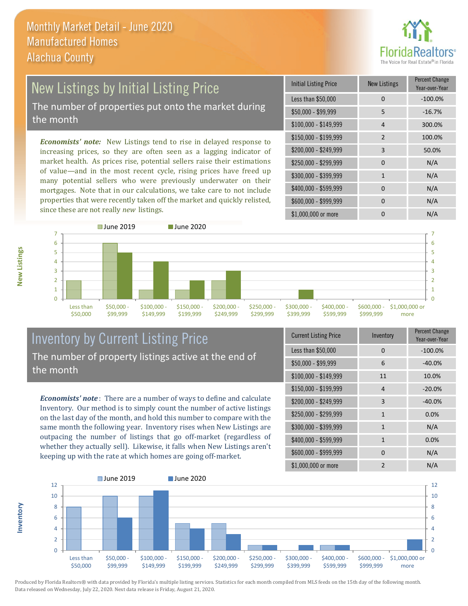

### New Listings by Initial Listing Price The number of properties put onto the market during the month

*Economists' note:* New Listings tend to rise in delayed response to increasing prices, so they are often seen as a lagging indicator of market health. As prices rise, potential sellers raise their estimations of value—and in the most recent cycle, rising prices have freed up many potential sellers who were previously underwater on their mortgages. Note that in our calculations, we take care to not include properties that were recently taken off the market and quickly relisted, since these are not really *new* listings.

| <b>Initial Listing Price</b> | <b>New Listings</b> | <b>Percent Change</b><br>Year-over-Year |
|------------------------------|---------------------|-----------------------------------------|
| Less than \$50,000           | 0                   | $-100.0%$                               |
| $$50,000 - $99,999$          | 5                   | $-16.7%$                                |
| $$100,000 - $149,999$        | 4                   | 300.0%                                  |
| \$150,000 - \$199,999        | $\overline{2}$      | 100.0%                                  |
| \$200,000 - \$249,999        | 3                   | 50.0%                                   |
| \$250,000 - \$299,999        | 0                   | N/A                                     |
| \$300,000 - \$399,999        | $\mathbf{1}$        | N/A                                     |
| \$400,000 - \$599,999        | $\Omega$            | N/A                                     |
| \$600,000 - \$999,999        | $\Omega$            | N/A                                     |
| \$1,000,000 or more          | n                   | N/A                                     |



### Inventory by Current Listing Price The number of property listings active at the end of the month

*Economists' note* : There are a number of ways to define and calculate Inventory. Our method is to simply count the number of active listings on the last day of the month, and hold this number to compare with the same month the following year. Inventory rises when New Listings are outpacing the number of listings that go off-market (regardless of whether they actually sell). Likewise, it falls when New Listings aren't keeping up with the rate at which homes are going off-market.

| <b>Current Listing Price</b> | Inventory      | Percent Change<br>Year-over-Year |
|------------------------------|----------------|----------------------------------|
| Less than \$50,000           | 0              | $-100.0%$                        |
| $$50,000 - $99,999$          | 6              | $-40.0%$                         |
| $$100,000 - $149,999$        | 11             | 10.0%                            |
| $$150,000 - $199,999$        | 4              | $-20.0%$                         |
| \$200,000 - \$249,999        | 3              | $-40.0%$                         |
| \$250,000 - \$299,999        | $\mathbf{1}$   | 0.0%                             |
| \$300,000 - \$399,999        | $\mathbf{1}$   | N/A                              |
| \$400,000 - \$599,999        | $\mathbf{1}$   | 0.0%                             |
| \$600,000 - \$999,999        | $\Omega$       | N/A                              |
| \$1,000,000 or more          | $\mathfrak{p}$ | N/A                              |



Produced by Florida Realtors® with data provided by Florida's multiple listing services. Statistics for each month compiled from MLS feeds on the 15th day of the following month. Data released on Wednesday, July 22, 2020. Next data release is Friday, August 21, 2020.

**Inventory**